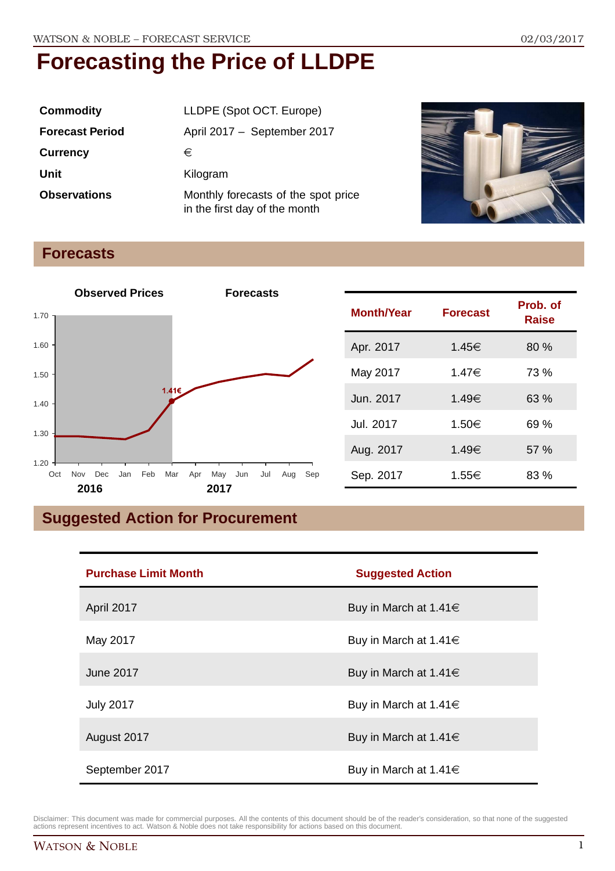| <b>Commodity</b>       | LLDPE (Spot OCT. Europe)                                             |  |
|------------------------|----------------------------------------------------------------------|--|
| <b>Forecast Period</b> | April 2017 - September 2017                                          |  |
| <b>Currency</b>        | €                                                                    |  |
| Unit                   | Kilogram                                                             |  |
| <b>Observations</b>    | Monthly forecasts of the spot price<br>in the first day of the month |  |



## **Forecasts**



| <b>Month/Year</b> | <b>Forecast</b> | Prob. of<br><b>Raise</b> |
|-------------------|-----------------|--------------------------|
| Apr. 2017         | 1.45€           | 80%                      |
| May 2017          | 1.47€           | 73 %                     |
| Jun. 2017         | 1.49€           | 63 %                     |
| Jul. 2017         | 1.50€           | 69 %                     |
| Aug. 2017         | 1.49€           | 57%                      |
| Sep. 2017         | 1.55€           | 83 %                     |

## **Suggested Action for Procurement**

| <b>Purchase Limit Month</b> | <b>Suggested Action</b>    |
|-----------------------------|----------------------------|
| April 2017                  | Buy in March at 1.41 $\in$ |
| May 2017                    | Buy in March at 1.41 $\in$ |
| June 2017                   | Buy in March at 1.41 $\in$ |
| <b>July 2017</b>            | Buy in March at 1.41 $\in$ |
| August 2017                 | Buy in March at 1.41 $\in$ |
| September 2017              | Buy in March at 1.41 $\in$ |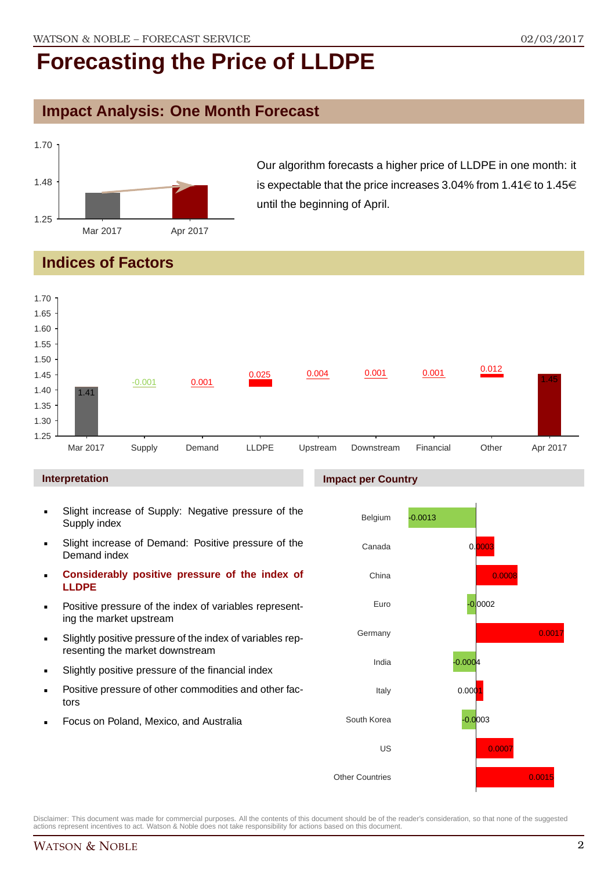## **Impact Analysis: One Month Forecast**



Our algorithm forecasts a higher price of LLDPE in one month: it is expectable that the price increases 3.04% from 1.41 $\in$  to 1.45 $\in$ until the beginning of April.

## **Indices of Factors**



#### **Interpretation**

- Slight increase of Supply: Negative pressure of the Supply index
- Slight increase of Demand: Positive pressure of the Demand index
- **Considerably positive pressure of the index of LLDPE**
- Positive pressure of the index of variables representing the market upstream
- Slightly positive pressure of the index of variables representing the market downstream
- Slightly positive pressure of the financial index
- Positive pressure of other commodities and other factors
- Focus on Poland, Mexico, and Australia



Disclaimer: This document was made for commercial purposes. All the contents of this document should be of the reader's consideration, so that none of the suggested actions represent incentives to act. Watson & Noble does not take responsibility for actions based on this document.

#### **Impact per Country**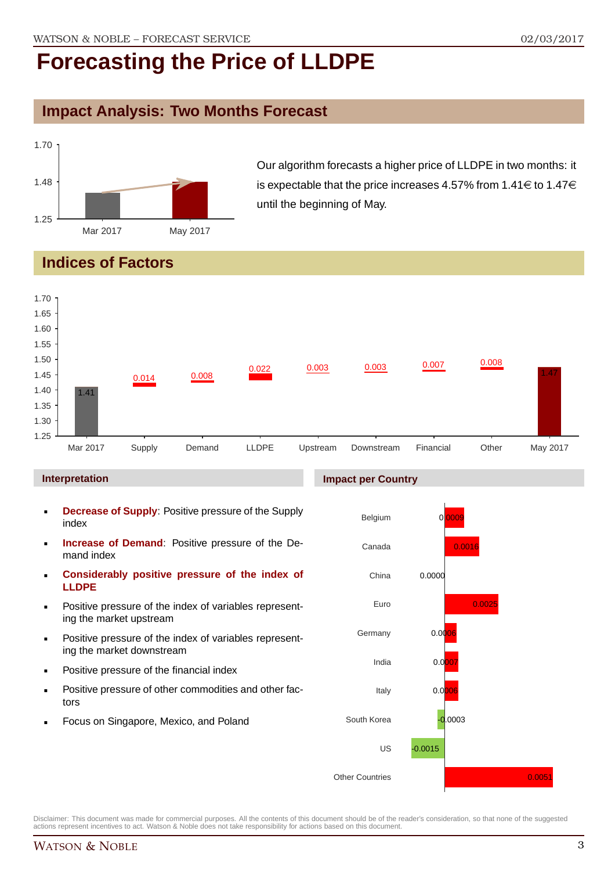## **Impact Analysis: Two Months Forecast**



Our algorithm forecasts a higher price of LLDPE in two months: it is expectable that the price increases 4.57% from 1.41 $\in$  to 1.47 $\in$ until the beginning of May.

## **Indices of Factors**



#### **Interpretation**

- **Decrease of Supply**: Positive pressure of the Supply index
- **Increase of Demand**: Positive pressure of the Demand index
- **Considerably positive pressure of the index of LLDPE**
- Positive pressure of the index of variables representing the market upstream
- Positive pressure of the index of variables representing the market downstream
- Positive pressure of the financial index
- Positive pressure of other commodities and other factors
- Focus on Singapore, Mexico, and Poland

#### **Impact per Country**

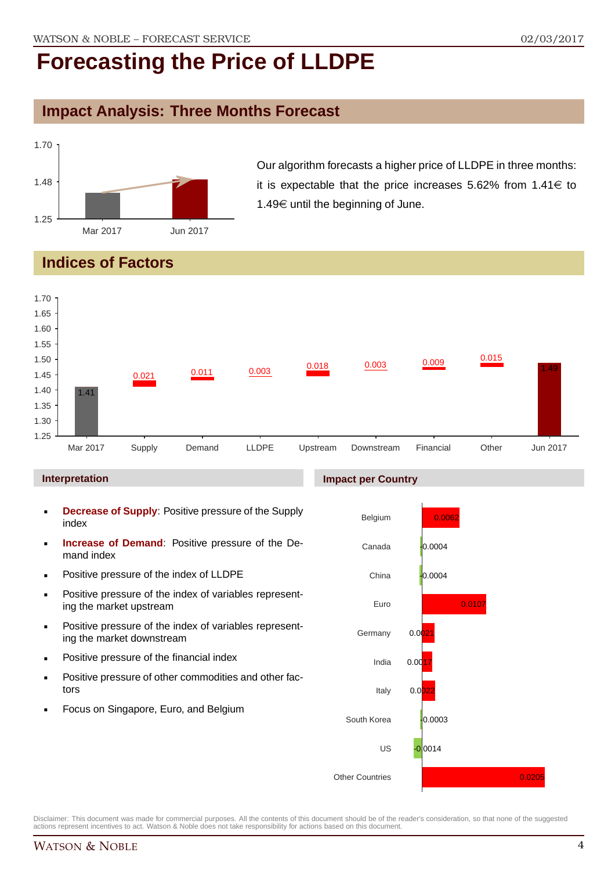## **Impact Analysis: Three Months Forecast**



Our algorithm forecasts a higher price of LLDPE in three months: it is expectable that the price increases 5.62% from  $1.41 \in$  to 1.49 $\in$  until the beginning of June.

## **Indices of Factors**



#### **Interpretation**

- **Decrease of Supply**: Positive pressure of the Supply index
- **Increase of Demand**: Positive pressure of the Demand index
- **Positive pressure of the index of LLDPE**
- **Positive pressure of the index of variables represent**ing the market upstream
- **Positive pressure of the index of variables represent**ing the market downstream
- **•** Positive pressure of the financial index
- **Positive pressure of other commodities and other fac**tors
- **Focus on Singapore, Euro, and Belgium**

#### **Impact per Country**

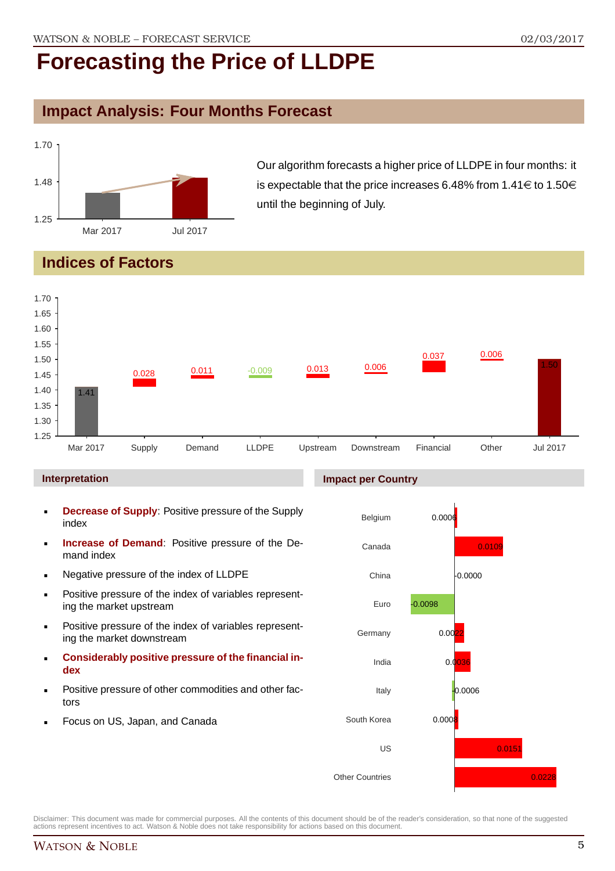## **Impact Analysis: Four Months Forecast**



Our algorithm forecasts a higher price of LLDPE in four months: it is expectable that the price increases 6.48% from 1.41 $\in$  to 1.50 $\in$ until the beginning of July.

## **Indices of Factors**



#### **Interpretation**

- **Decrease of Supply**: Positive pressure of the Supply index
- **Increase of Demand**: Positive pressure of the Demand index
- **Negative pressure of the index of LLDPE**
- **Positive pressure of the index of variables represent**ing the market upstream
- **Positive pressure of the index of variables represent**ing the market downstream
- **Considerably positive pressure of the financial index**
- Positive pressure of other commodities and other factors
- Focus on US, Japan, and Canada

#### **Impact per Country**

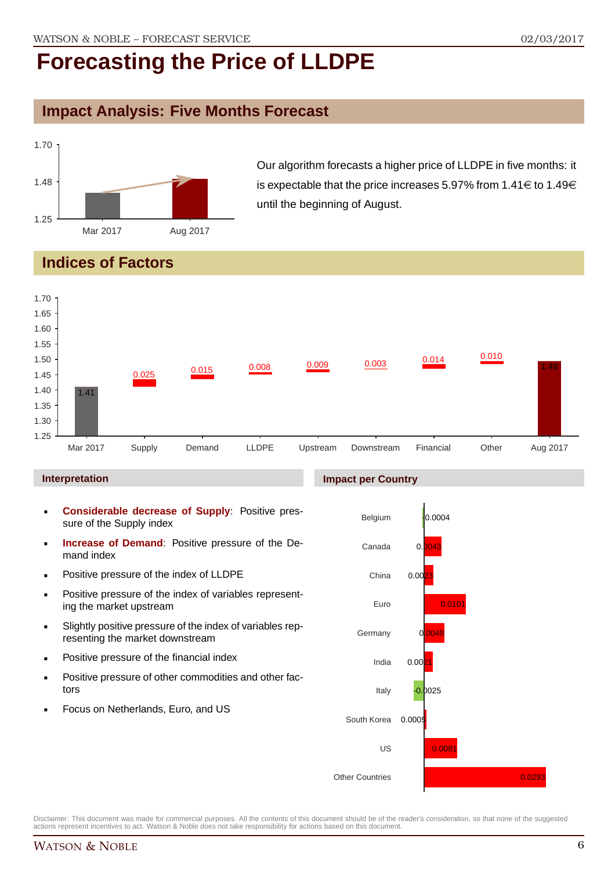## **Impact Analysis: Five Months Forecast**



Our algorithm forecasts a higher price of LLDPE in five months: it is expectable that the price increases 5.97% from 1.41 $\in$  to 1.49 $\in$ until the beginning of August.

## **Indices of Factors**



#### **Interpretation**

- **Considerable decrease of Supply**: Positive pressure of the Supply index
- **Increase of Demand**: Positive pressure of the Demand index
- **Positive pressure of the index of LLDPE**
- **Positive pressure of the index of variables represent**ing the market upstream
- Slightly positive pressure of the index of variables representing the market downstream
- **•** Positive pressure of the financial index
- **Positive pressure of other commodities and other fac**tors
- Focus on Netherlands, Euro, and US

### **Impact per Country**

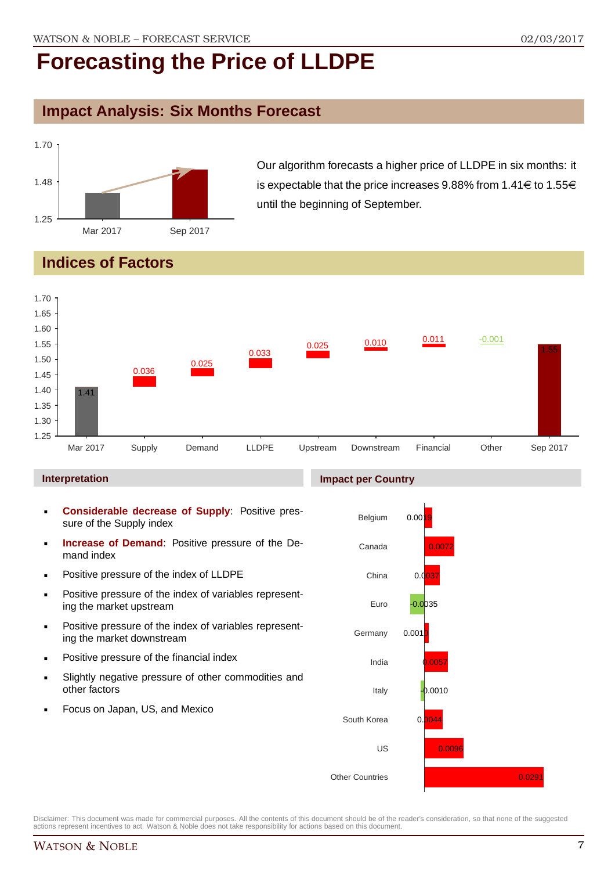## **Impact Analysis: Six Months Forecast**



Our algorithm forecasts a higher price of LLDPE in six months: it is expectable that the price increases 9.88% from 1.41 $\in$  to 1.55 $\in$ until the beginning of September.

## **Indices of Factors**



#### **Interpretation**

- **Considerable decrease of Supply**: Positive pressure of the Supply index
- **Increase of Demand**: Positive pressure of the Demand index
- **Positive pressure of the index of LLDPE**
- **Positive pressure of the index of variables represent**ing the market upstream
- **Positive pressure of the index of variables represent**ing the market downstream
- **•** Positive pressure of the financial index
- Slightly negative pressure of other commodities and other factors
- Focus on Japan, US, and Mexico

#### **Impact per Country**

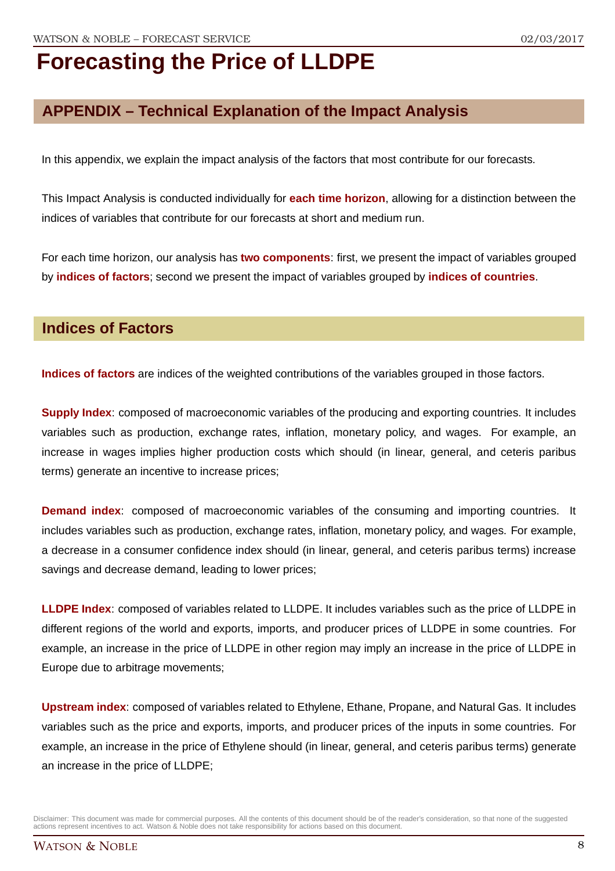## **APPENDIX – Technical Explanation of the Impact Analysis**

In this appendix, we explain the impact analysis of the factors that most contribute for our forecasts.

This Impact Analysis is conducted individually for **each time horizon**, allowing for a distinction between the indices of variables that contribute for our forecasts at short and medium run.

For each time horizon, our analysis has **two components**: first, we present the impact of variables grouped by **indices of factors**; second we present the impact of variables grouped by **indices of countries**.

### **Indices of Factors**

**Indices of factors** are indices of the weighted contributions of the variables grouped in those factors.

**Supply Index**: composed of macroeconomic variables of the producing and exporting countries. It includes variables such as production, exchange rates, inflation, monetary policy, and wages. For example, an increase in wages implies higher production costs which should (in linear, general, and ceteris paribus terms) generate an incentive to increase prices;

**Demand index**: composed of macroeconomic variables of the consuming and importing countries. It includes variables such as production, exchange rates, inflation, monetary policy, and wages. For example, a decrease in a consumer confidence index should (in linear, general, and ceteris paribus terms) increase savings and decrease demand, leading to lower prices;

**LLDPE Index**: composed of variables related to LLDPE. It includes variables such as the price of LLDPE in different regions of the world and exports, imports, and producer prices of LLDPE in some countries. For example, an increase in the price of LLDPE in other region may imply an increase in the price of LLDPE in Europe due to arbitrage movements;

**Upstream index**: composed of variables related to Ethylene, Ethane, Propane, and Natural Gas. It includes variables such as the price and exports, imports, and producer prices of the inputs in some countries. For example, an increase in the price of Ethylene should (in linear, general, and ceteris paribus terms) generate an increase in the price of LLDPE;